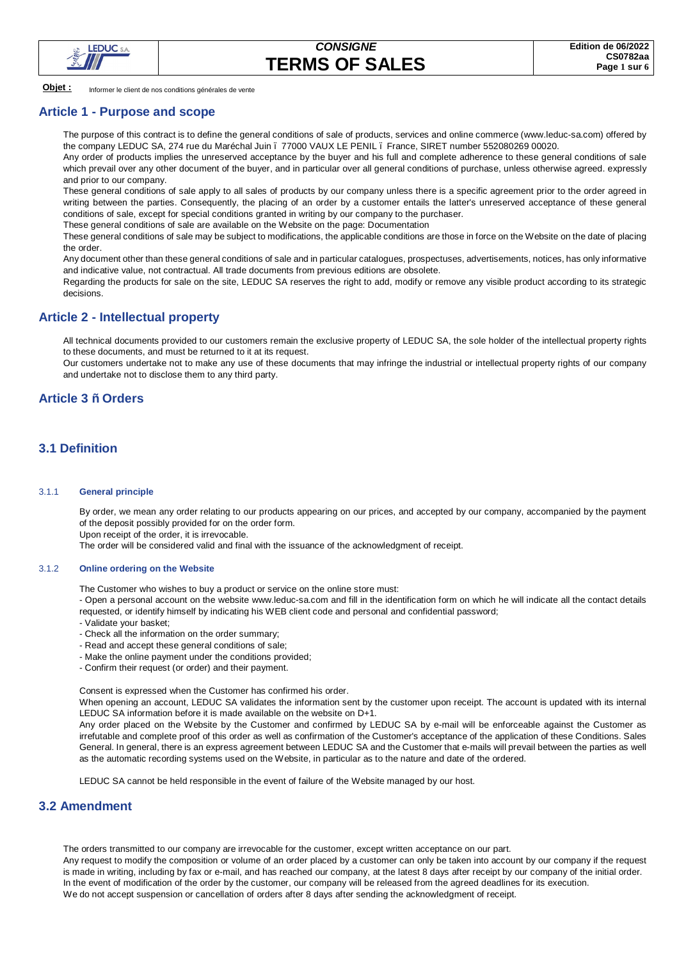

**Objet :** Informer le client de nos conditions générales de vente

#### **Article 1 - Purpose and scope**

The purpose of this contract is to define the general conditions of sale of products, services and online commerce (www.leduc-sa.com) offered by the company LEDUC SA, 274 rue du Maréchal Juin – 77000 VAUX LE PENIL – France, SIRET number 552080269 00020.

Any order of products implies the unreserved acceptance by the buyer and his full and complete adherence to these general conditions of sale which prevail over any other document of the buyer, and in particular over all general conditions of purchase, unless otherwise agreed. expressly and prior to our company.

These general conditions of sale apply to all sales of products by our company unless there is a specific agreement prior to the order agreed in writing between the parties. Consequently, the placing of an order by a customer entails the latter's unreserved acceptance of these general conditions of sale, except for special conditions granted in writing by our company to the purchaser.

These general conditions of sale are available on the Website on the page: Documentation

These general conditions of sale may be subject to modifications, the applicable conditions are those in force on the Website on the date of placing the order.

Any document other than these general conditions of sale and in particular catalogues, prospectuses, advertisements, notices, has only informative and indicative value, not contractual. All trade documents from previous editions are obsolete.

Regarding the products for sale on the site, LEDUC SA reserves the right to add, modify or remove any visible product according to its strategic decisions.

### **Article 2 - Intellectual property**

All technical documents provided to our customers remain the exclusive property of LEDUC SA, the sole holder of the intellectual property rights to these documents, and must be returned to it at its request.

Our customers undertake not to make any use of these documents that may infringe the industrial or intellectual property rights of our company and undertake not to disclose them to any third party.

## **Article 3 – Orders**

## **3.1 Definition**

#### 3.1.1 **General principle**

By order, we mean any order relating to our products appearing on our prices, and accepted by our company, accompanied by the payment of the deposit possibly provided for on the order form.

Upon receipt of the order, it is irrevocable.

The order will be considered valid and final with the issuance of the acknowledgment of receipt.

#### 3.1.2 **Online ordering on the Website**

The Customer who wishes to buy a product or service on the online store must:

- Open a personal account on the website www.leduc-sa.com and fill in the identification form on which he will indicate all the contact details requested, or identify himself by indicating his WEB client code and personal and confidential password;

- Validate your basket;
- Check all the information on the order summary;
- Read and accept these general conditions of sale;
- Make the online payment under the conditions provided;
- Confirm their request (or order) and their payment.

Consent is expressed when the Customer has confirmed his order.

When opening an account, LEDUC SA validates the information sent by the customer upon receipt. The account is updated with its internal LEDUC SA information before it is made available on the website on D+1.

Any order placed on the Website by the Customer and confirmed by LEDUC SA by e-mail will be enforceable against the Customer as irrefutable and complete proof of this order as well as confirmation of the Customer's acceptance of the application of these Conditions. Sales General. In general, there is an express agreement between LEDUC SA and the Customer that e-mails will prevail between the parties as well as the automatic recording systems used on the Website, in particular as to the nature and date of the ordered.

LEDUC SA cannot be held responsible in the event of failure of the Website managed by our host.

### **3.2 Amendment**

The orders transmitted to our company are irrevocable for the customer, except written acceptance on our part.

Any request to modify the composition or volume of an order placed by a customer can only be taken into account by our company if the request is made in writing, including by fax or e-mail, and has reached our company, at the latest 8 days after receipt by our company of the initial order. In the event of modification of the order by the customer, our company will be released from the agreed deadlines for its execution. We do not accept suspension or cancellation of orders after 8 days after sending the acknowledgment of receipt.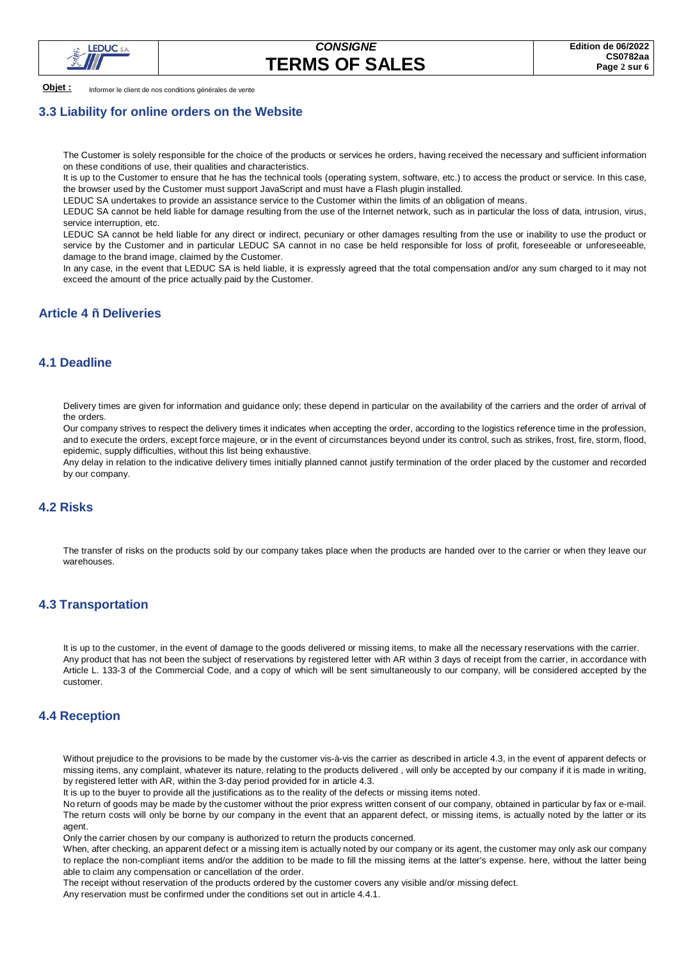

**Objet :** Informer le client de nos conditions générales de vente

### **3.3 Liability for online orders on the Website**

The Customer is solely responsible for the choice of the products or services he orders, having received the necessary and sufficient information on these conditions of use, their qualities and characteristics.

It is up to the Customer to ensure that he has the technical tools (operating system, software, etc.) to access the product or service. In this case, the browser used by the Customer must support JavaScript and must have a Flash plugin installed.

LEDUC SA undertakes to provide an assistance service to the Customer within the limits of an obligation of means.

LEDUC SA cannot be held liable for damage resulting from the use of the Internet network, such as in particular the loss of data, intrusion, virus, service interruption, etc.

LEDUC SA cannot be held liable for any direct or indirect, pecuniary or other damages resulting from the use or inability to use the product or service by the Customer and in particular LEDUC SA cannot in no case be held responsible for loss of profit, foreseeable or unforeseeable, damage to the brand image, claimed by the Customer.

In any case, in the event that LEDUC SA is held liable, it is expressly agreed that the total compensation and/or any sum charged to it may not exceed the amount of the price actually paid by the Customer.

# **Article 4 – Deliveries**

### **4.1 Deadline**

Delivery times are given for information and guidance only; these depend in particular on the availability of the carriers and the order of arrival of the orders.

Our company strives to respect the delivery times it indicates when accepting the order, according to the logistics reference time in the profession, and to execute the orders, except force majeure, or in the event of circumstances beyond under its control, such as strikes, frost, fire, storm, flood, epidemic, supply difficulties, without this list being exhaustive.

Any delay in relation to the indicative delivery times initially planned cannot justify termination of the order placed by the customer and recorded by our company.

## **4.2 Risks**

The transfer of risks on the products sold by our company takes place when the products are handed over to the carrier or when they leave our warehouses.

## **4.3 Transportation**

It is up to the customer, in the event of damage to the goods delivered or missing items, to make all the necessary reservations with the carrier. Any product that has not been the subject of reservations by registered letter with AR within 3 days of receipt from the carrier, in accordance with Article L. 133-3 of the Commercial Code, and a copy of which will be sent simultaneously to our company, will be considered accepted by the customer.

### **4.4 Reception**

Without prejudice to the provisions to be made by the customer vis-à-vis the carrier as described in article 4.3, in the event of apparent defects or missing items, any complaint, whatever its nature, relating to the products delivered , will only be accepted by our company if it is made in writing, by registered letter with AR, within the 3-day period provided for in article 4.3.

It is up to the buyer to provide all the justifications as to the reality of the defects or missing items noted.

No return of goods may be made by the customer without the prior express written consent of our company, obtained in particular by fax or e-mail. The return costs will only be borne by our company in the event that an apparent defect, or missing items, is actually noted by the latter or its agent.

Only the carrier chosen by our company is authorized to return the products concerned.

When, after checking, an apparent defect or a missing item is actually noted by our company or its agent, the customer may only ask our company to replace the non-compliant items and/or the addition to be made to fill the missing items at the latter's expense. here, without the latter being able to claim any compensation or cancellation of the order.

The receipt without reservation of the products ordered by the customer covers any visible and/or missing defect.

Any reservation must be confirmed under the conditions set out in article 4.4.1.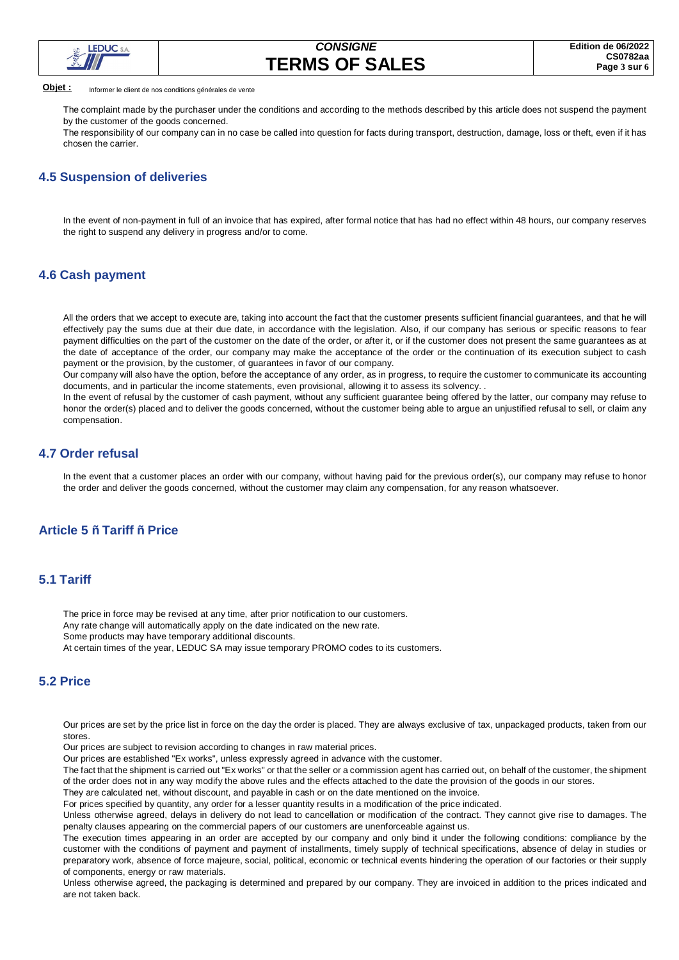

#### **Objet :** Informer le client de nos conditions générales de vente

The complaint made by the purchaser under the conditions and according to the methods described by this article does not suspend the payment by the customer of the goods concerned.

The responsibility of our company can in no case be called into question for facts during transport, destruction, damage, loss or theft, even if it has chosen the carrier.

### **4.5 Suspension of deliveries**

In the event of non-payment in full of an invoice that has expired, after formal notice that has had no effect within 48 hours, our company reserves the right to suspend any delivery in progress and/or to come.

### **4.6 Cash payment**

All the orders that we accept to execute are, taking into account the fact that the customer presents sufficient financial guarantees, and that he will effectively pay the sums due at their due date, in accordance with the legislation. Also, if our company has serious or specific reasons to fear payment difficulties on the part of the customer on the date of the order, or after it, or if the customer does not present the same guarantees as at the date of acceptance of the order, our company may make the acceptance of the order or the continuation of its execution subject to cash payment or the provision, by the customer, of guarantees in favor of our company.

Our company will also have the option, before the acceptance of any order, as in progress, to require the customer to communicate its accounting documents, and in particular the income statements, even provisional, allowing it to assess its solvency. .

In the event of refusal by the customer of cash payment, without any sufficient guarantee being offered by the latter, our company may refuse to honor the order(s) placed and to deliver the goods concerned, without the customer being able to argue an unjustified refusal to sell, or claim any compensation.

### **4.7 Order refusal**

In the event that a customer places an order with our company, without having paid for the previous order(s), our company may refuse to honor the order and deliver the goods concerned, without the customer may claim any compensation, for any reason whatsoever.

## **Article 5 – Tariff – Price**

## **5.1 Tariff**

The price in force may be revised at any time, after prior notification to our customers. Any rate change will automatically apply on the date indicated on the new rate. Some products may have temporary additional discounts. At certain times of the year, LEDUC SA may issue temporary PROMO codes to its customers.

## **5.2 Price**

Our prices are set by the price list in force on the day the order is placed. They are always exclusive of tax, unpackaged products, taken from our stores.

Our prices are subject to revision according to changes in raw material prices.

Our prices are established "Ex works", unless expressly agreed in advance with the customer.

The fact that the shipment is carried out "Ex works" or that the seller or a commission agent has carried out, on behalf of the customer, the shipment of the order does not in any way modify the above rules and the effects attached to the date the provision of the goods in our stores. They are calculated net, without discount, and payable in cash or on the date mentioned on the invoice.

For prices specified by quantity, any order for a lesser quantity results in a modification of the price indicated.

Unless otherwise agreed, delays in delivery do not lead to cancellation or modification of the contract. They cannot give rise to damages. The penalty clauses appearing on the commercial papers of our customers are unenforceable against us.

The execution times appearing in an order are accepted by our company and only bind it under the following conditions: compliance by the customer with the conditions of payment and payment of installments, timely supply of technical specifications, absence of delay in studies or preparatory work, absence of force majeure, social, political, economic or technical events hindering the operation of our factories or their supply of components, energy or raw materials.

Unless otherwise agreed, the packaging is determined and prepared by our company. They are invoiced in addition to the prices indicated and are not taken back.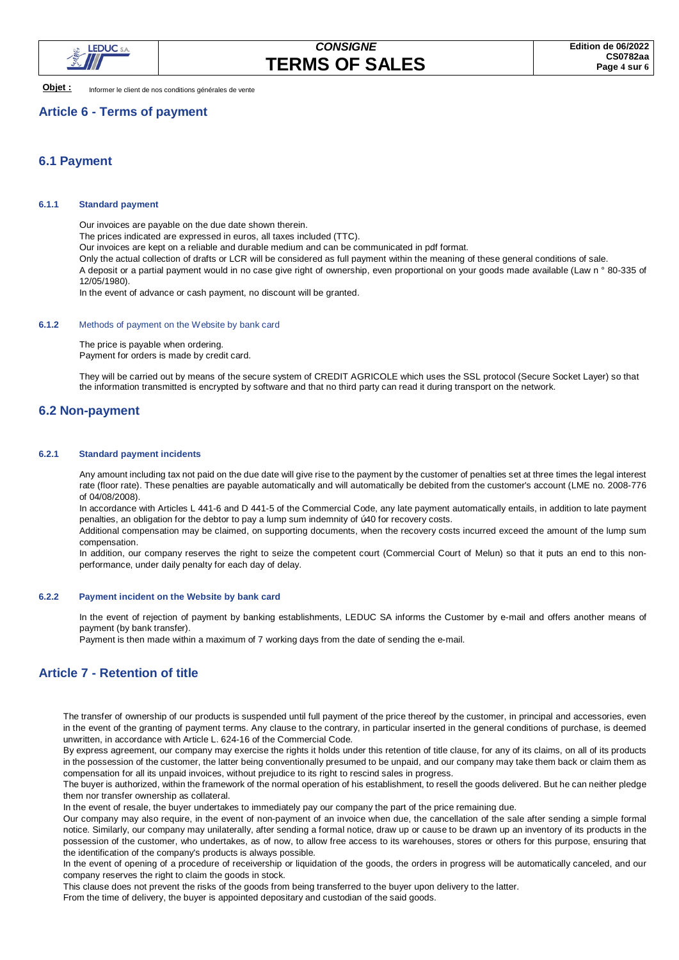

**Objet :** Informer le client de nos conditions générales de vente

## **Article 6 - Terms of payment**

## **6.1 Payment**

### **6.1.1 Standard payment**

Our invoices are payable on the due date shown therein.

The prices indicated are expressed in euros, all taxes included (TTC).

Our invoices are kept on a reliable and durable medium and can be communicated in pdf format.

Only the actual collection of drafts or LCR will be considered as full payment within the meaning of these general conditions of sale. A deposit or a partial payment would in no case give right of ownership, even proportional on your goods made available (Law n ° 80-335 of 12/05/1980).

In the event of advance or cash payment, no discount will be granted.

### **6.1.2** Methods of payment on the Website by bank card

The price is payable when ordering. Payment for orders is made by credit card.

They will be carried out by means of the secure system of CREDIT AGRICOLE which uses the SSL protocol (Secure Socket Layer) so that the information transmitted is encrypted by software and that no third party can read it during transport on the network.

## **6.2 Non-payment**

#### **6.2.1 Standard payment incidents**

Any amount including tax not paid on the due date will give rise to the payment by the customer of penalties set at three times the legal interest rate (floor rate). These penalties are payable automatically and will automatically be debited from the customer's account (LME no. 2008-776 of 04/08/2008).

In accordance with Articles L 441-6 and D 441-5 of the Commercial Code, any late payment automatically entails, in addition to late payment penalties, an obligation for the debtor to pay a lump sum indemnity of "40 for recovery costs.

Additional compensation may be claimed, on supporting documents, when the recovery costs incurred exceed the amount of the lump sum compensation.

In addition, our company reserves the right to seize the competent court (Commercial Court of Melun) so that it puts an end to this nonperformance, under daily penalty for each day of delay.

#### **6.2.2 Payment incident on the Website by bank card**

In the event of rejection of payment by banking establishments, LEDUC SA informs the Customer by e-mail and offers another means of payment (by bank transfer).

Payment is then made within a maximum of 7 working days from the date of sending the e-mail.

# **Article 7 - Retention of title**

The transfer of ownership of our products is suspended until full payment of the price thereof by the customer, in principal and accessories, even in the event of the granting of payment terms. Any clause to the contrary, in particular inserted in the general conditions of purchase, is deemed unwritten, in accordance with Article L. 624-16 of the Commercial Code.

By express agreement, our company may exercise the rights it holds under this retention of title clause, for any of its claims, on all of its products in the possession of the customer, the latter being conventionally presumed to be unpaid, and our company may take them back or claim them as compensation for all its unpaid invoices, without prejudice to its right to rescind sales in progress.

The buyer is authorized, within the framework of the normal operation of his establishment, to resell the goods delivered. But he can neither pledge them nor transfer ownership as collateral.

In the event of resale, the buyer undertakes to immediately pay our company the part of the price remaining due.

Our company may also require, in the event of non-payment of an invoice when due, the cancellation of the sale after sending a simple formal notice. Similarly, our company may unilaterally, after sending a formal notice, draw up or cause to be drawn up an inventory of its products in the possession of the customer, who undertakes, as of now, to allow free access to its warehouses, stores or others for this purpose, ensuring that the identification of the company's products is always possible.

In the event of opening of a procedure of receivership or liquidation of the goods, the orders in progress will be automatically canceled, and our company reserves the right to claim the goods in stock.

This clause does not prevent the risks of the goods from being transferred to the buyer upon delivery to the latter.

From the time of delivery, the buyer is appointed depositary and custodian of the said goods.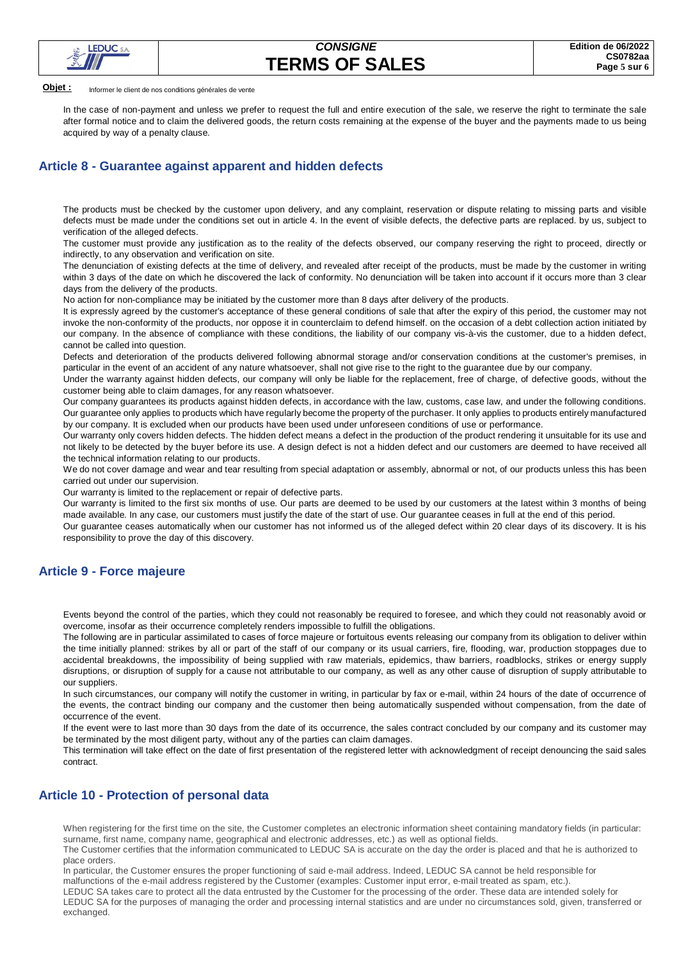

**Objet :** Informer le client de nos conditions générales de vente

In the case of non-payment and unless we prefer to request the full and entire execution of the sale, we reserve the right to terminate the sale after formal notice and to claim the delivered goods, the return costs remaining at the expense of the buyer and the payments made to us being acquired by way of a penalty clause.

## **Article 8 - Guarantee against apparent and hidden defects**

The products must be checked by the customer upon delivery, and any complaint, reservation or dispute relating to missing parts and visible defects must be made under the conditions set out in article 4. In the event of visible defects, the defective parts are replaced. by us, subject to verification of the alleged defects.

The customer must provide any justification as to the reality of the defects observed, our company reserving the right to proceed, directly or indirectly, to any observation and verification on site.

The denunciation of existing defects at the time of delivery, and revealed after receipt of the products, must be made by the customer in writing within 3 days of the date on which he discovered the lack of conformity. No denunciation will be taken into account if it occurs more than 3 clear days from the delivery of the products.

No action for non-compliance may be initiated by the customer more than 8 days after delivery of the products.

It is expressly agreed by the customer's acceptance of these general conditions of sale that after the expiry of this period, the customer may not invoke the non-conformity of the products, nor oppose it in counterclaim to defend himself. on the occasion of a debt collection action initiated by our company. In the absence of compliance with these conditions, the liability of our company vis-à-vis the customer, due to a hidden defect, cannot be called into question.

Defects and deterioration of the products delivered following abnormal storage and/or conservation conditions at the customer's premises, in particular in the event of an accident of any nature whatsoever, shall not give rise to the right to the guarantee due by our company.

Under the warranty against hidden defects, our company will only be liable for the replacement, free of charge, of defective goods, without the customer being able to claim damages, for any reason whatsoever.

Our company guarantees its products against hidden defects, in accordance with the law, customs, case law, and under the following conditions. Our guarantee only applies to products which have regularly become the property of the purchaser. It only applies to products entirely manufactured by our company. It is excluded when our products have been used under unforeseen conditions of use or performance.

Our warranty only covers hidden defects. The hidden defect means a defect in the production of the product rendering it unsuitable for its use and not likely to be detected by the buyer before its use. A design defect is not a hidden defect and our customers are deemed to have received all the technical information relating to our products.

We do not cover damage and wear and tear resulting from special adaptation or assembly, abnormal or not, of our products unless this has been carried out under our supervision.

Our warranty is limited to the replacement or repair of defective parts.

Our warranty is limited to the first six months of use. Our parts are deemed to be used by our customers at the latest within 3 months of being made available. In any case, our customers must justify the date of the start of use. Our guarantee ceases in full at the end of this period.

Our guarantee ceases automatically when our customer has not informed us of the alleged defect within 20 clear days of its discovery. It is his responsibility to prove the day of this discovery.

## **Article 9 - Force majeure**

Events beyond the control of the parties, which they could not reasonably be required to foresee, and which they could not reasonably avoid or overcome, insofar as their occurrence completely renders impossible to fulfill the obligations.

The following are in particular assimilated to cases of force majeure or fortuitous events releasing our company from its obligation to deliver within the time initially planned: strikes by all or part of the staff of our company or its usual carriers, fire, flooding, war, production stoppages due to accidental breakdowns, the impossibility of being supplied with raw materials, epidemics, thaw barriers, roadblocks, strikes or energy supply disruptions, or disruption of supply for a cause not attributable to our company, as well as any other cause of disruption of supply attributable to our suppliers.

In such circumstances, our company will notify the customer in writing, in particular by fax or e-mail, within 24 hours of the date of occurrence of the events, the contract binding our company and the customer then being automatically suspended without compensation, from the date of occurrence of the event.

If the event were to last more than 30 days from the date of its occurrence, the sales contract concluded by our company and its customer may be terminated by the most diligent party, without any of the parties can claim damages.

This termination will take effect on the date of first presentation of the registered letter with acknowledgment of receipt denouncing the said sales contract.

## **Article 10 - Protection of personal data**

When registering for the first time on the site, the Customer completes an electronic information sheet containing mandatory fields (in particular: surname, first name, company name, geographical and electronic addresses, etc.) as well as optional fields.

The Customer certifies that the information communicated to LEDUC SA is accurate on the day the order is placed and that he is authorized to place orders.

In particular, the Customer ensures the proper functioning of said e-mail address. Indeed, LEDUC SA cannot be held responsible for

malfunctions of the e-mail address registered by the Customer (examples: Customer input error, e-mail treated as spam, etc.).

LEDUC SA takes care to protect all the data entrusted by the Customer for the processing of the order. These data are intended solely for LEDUC SA for the purposes of managing the order and processing internal statistics and are under no circumstances sold, given, transferred or exchanged.